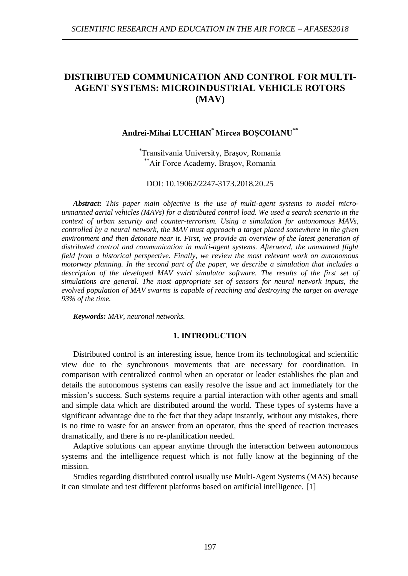# **DISTRIBUTED COMMUNICATION AND CONTROL FOR MULTI-AGENT SYSTEMS: MICROINDUSTRIAL VEHICLE ROTORS (MAV)**

## **Andrei-Mihai LUCHIAN\* Mircea BOȘCOIANU\*\***

\* Transilvania University, Braşov, Romania \*\*Air Force Academy, Brașov, Romania

### DOI: 10.19062/2247-3173.2018.20.25

*Abstract: This paper main objective is the use of multi-agent systems to model microunmanned aerial vehicles (MAVs) for a distributed control load. We used a search scenario in the context of urban security and counter-terrorism. Using a simulation for autonomous MAVs, controlled by a neural network, the MAV must approach a target placed somewhere in the given environment and then detonate near it. First, we provide an overview of the latest generation of distributed control and communication in multi-agent systems. Afterword, the unmanned flight field from a historical perspective. Finally, we review the most relevant work on autonomous motorway planning. In the second part of the paper, we describe a simulation that includes a*  description of the developed MAV swirl simulator software. The results of the first set of *simulations are general. The most appropriate set of sensors for neural network inputs, the evolved population of MAV swarms is capable of reaching and destroying the target on average 93% of the time.*

*Keywords: MAV, neuronal networks.*

#### **1. INTRODUCTION**

Distributed control is an interesting issue, hence from its technological and scientific view due to the synchronous movements that are necessary for coordination. In comparison with centralized control when an operator or leader establishes the plan and details the autonomous systems can easily resolve the issue and act immediately for the mission's success. Such systems require a partial interaction with other agents and small and simple data which are distributed around the world. These types of systems have a significant advantage due to the fact that they adapt instantly, without any mistakes, there is no time to waste for an answer from an operator, thus the speed of reaction increases dramatically, and there is no re-planification needed.

Adaptive solutions can appear anytime through the interaction between autonomous systems and the intelligence request which is not fully know at the beginning of the mission.

Studies regarding distributed control usually use Multi-Agent Systems (MAS) because it can simulate and test different platforms based on artificial intelligence. [1]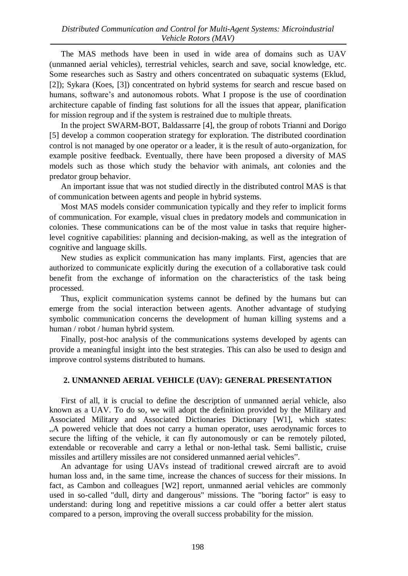The MAS methods have been in used in wide area of domains such as UAV (unmanned aerial vehicles), terrestrial vehicles, search and save, social knowledge, etc. Some researches such as Sastry and others concentrated on subaquatic systems (Eklud, [2]); Sykara (Koes, [3]) concentrated on hybrid systems for search and rescue based on humans, software's and autonomous robots. What I propose is the use of coordination architecture capable of finding fast solutions for all the issues that appear, planification for mission regroup and if the system is restrained due to multiple threats.

In the project SWARM-BOT, Baldassarre [4], the group of robots Trianni and Dorigo [5] develop a common cooperation strategy for exploration. The distributed coordination control is not managed by one operator or a leader, it is the result of auto-organization, for example positive feedback. Eventually, there have been proposed a diversity of MAS models such as those which study the behavior with animals, ant colonies and the predator group behavior.

An important issue that was not studied directly in the distributed control MAS is that of communication between agents and people in hybrid systems.

Most MAS models consider communication typically and they refer to implicit forms of communication. For example, visual clues in predatory models and communication in colonies. These communications can be of the most value in tasks that require higherlevel cognitive capabilities: planning and decision-making, as well as the integration of cognitive and language skills.

New studies as explicit communication has many implants. First, agencies that are authorized to communicate explicitly during the execution of a collaborative task could benefit from the exchange of information on the characteristics of the task being processed.

Thus, explicit communication systems cannot be defined by the humans but can emerge from the social interaction between agents. Another advantage of studying symbolic communication concerns the development of human killing systems and a human / robot / human hybrid system.

Finally, post-hoc analysis of the communications systems developed by agents can provide a meaningful insight into the best strategies. This can also be used to design and improve control systems distributed to humans.

## **2. UNMANNED AERIAL VEHICLE (UAV): GENERAL PRESENTATION**

First of all, it is crucial to define the description of unmanned aerial vehicle, also known as a UAV. To do so, we will adopt the definition provided by the Military and Associated Military and Associated Dictionaries Dictionary [W1], which states: ...A powered vehicle that does not carry a human operator, uses aerodynamic forces to secure the lifting of the vehicle, it can fly autonomously or can be remotely piloted, extendable or recoverable and carry a lethal or non-lethal task. Semi ballistic, cruise missiles and artillery missiles are not considered unmanned aerial vehicles".

An advantage for using UAVs instead of traditional crewed aircraft are to avoid human loss and, in the same time, increase the chances of success for their missions. In fact, as Cambon and colleagues [W2] report, unmanned aerial vehicles are commonly used in so-called "dull, dirty and dangerous" missions. The "boring factor" is easy to understand: during long and repetitive missions a car could offer a better alert status compared to a person, improving the overall success probability for the mission.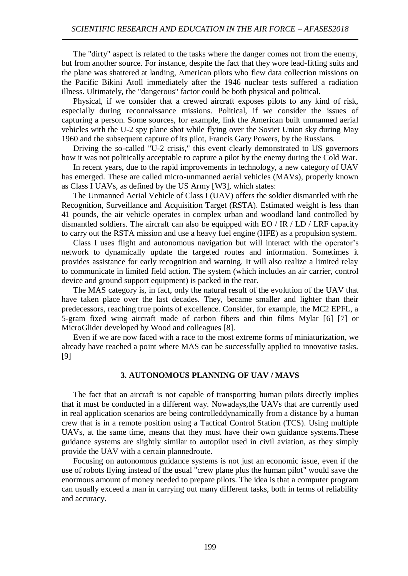The "dirty" aspect is related to the tasks where the danger comes not from the enemy, but from another source. For instance, despite the fact that they wore lead-fitting suits and the plane was shattered at landing, American pilots who flew data collection missions on the Pacific Bikini Atoll immediately after the 1946 nuclear tests suffered a radiation illness. Ultimately, the "dangerous" factor could be both physical and political.

Physical, if we consider that a crewed aircraft exposes pilots to any kind of risk, especially during reconnaissance missions. Political, if we consider the issues of capturing a person. Some sources, for example, link the American built unmanned aerial vehicles with the U-2 spy plane shot while flying over the Soviet Union sky during May 1960 and the subsequent capture of its pilot, Francis Gary Powers, by the Russians.

Driving the so-called "U-2 crisis," this event clearly demonstrated to US governors how it was not politically acceptable to capture a pilot by the enemy during the Cold War.

In recent years, due to the rapid improvements in technology, a new category of UAV has emerged. These are called micro-unmanned aerial vehicles (MAVs), properly known as Class I UAVs, as defined by the US Army [W3], which states:

The Unmanned Aerial Vehicle of Class I (UAV) offers the soldier dismantled with the Recognition, Surveillance and Acquisition Target (RSTA). Estimated weight is less than 41 pounds, the air vehicle operates in complex urban and woodland land controlled by dismantled soldiers. The aircraft can also be equipped with  $EO / IR / LD / LRF$  capacity to carry out the RSTA mission and use a heavy fuel engine (HFE) as a propulsion system.

Class I uses flight and autonomous navigation but will interact with the operator's network to dynamically update the targeted routes and information. Sometimes it provides assistance for early recognition and warning. It will also realize a limited relay to communicate in limited field action. The system (which includes an air carrier, control device and ground support equipment) is packed in the rear.

The MAS category is, in fact, only the natural result of the evolution of the UAV that have taken place over the last decades. They, became smaller and lighter than their predecessors, reaching true points of excellence. Consider, for example, the MC2 EPFL, a 5-gram fixed wing aircraft made of carbon fibers and thin films Mylar [6] [7] or MicroGlider developed by Wood and colleagues [8].

Even if we are now faced with a race to the most extreme forms of miniaturization, we already have reached a point where MAS can be successfully applied to innovative tasks. [9]

## **3. AUTONOMOUS PLANNING OF UAV / MAVS**

The fact that an aircraft is not capable of transporting human pilots directly implies that it must be conducted in a different way. Nowadays,the UAVs that are currently used in real application scenarios are being controlleddynamically from a distance by a human crew that is in a remote position using a Tactical Control Station (TCS). Using multiple UAVs, at the same time, means that they must have their own guidance systems.These guidance systems are slightly similar to autopilot used in civil aviation, as they simply provide the UAV with a certain plannedroute.

Focusing on autonomous guidance systems is not just an economic issue, even if the use of robots flying instead of the usual "crew plane plus the human pilot" would save the enormous amount of money needed to prepare pilots. The idea is that a computer program can usually exceed a man in carrying out many different tasks, both in terms of reliability and accuracy.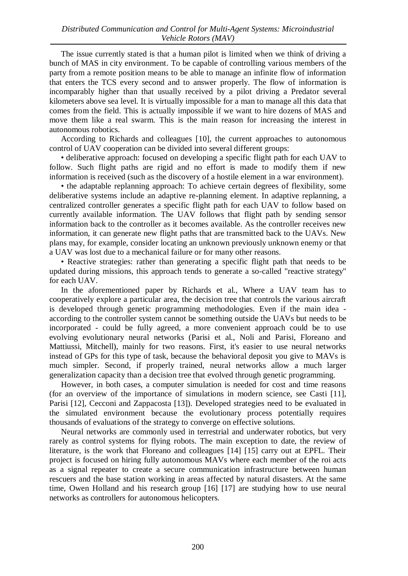The issue currently stated is that a human pilot is limited when we think of driving a bunch of MAS in city environment. To be capable of controlling various members of the party from a remote position means to be able to manage an infinite flow of information that enters the TCS every second and to answer properly. The flow of information is incomparably higher than that usually received by a pilot driving a Predator several kilometers above sea level. It is virtually impossible for a man to manage all this data that comes from the field. This is actually impossible if we want to hire dozens of MAS and move them like a real swarm. This is the main reason for increasing the interest in autonomous robotics.

According to Richards and colleagues [10], the current approaches to autonomous control of UAV cooperation can be divided into several different groups:

• deliberative approach: focused on developing a specific flight path for each UAV to follow. Such flight paths are rigid and no effort is made to modify them if new information is received (such as the discovery of a hostile element in a war environment).

• the adaptable replanning approach: To achieve certain degrees of flexibility, some deliberative systems include an adaptive re-planning element. In adaptive replanning, a centralized controller generates a specific flight path for each UAV to follow based on currently available information. The UAV follows that flight path by sending sensor information back to the controller as it becomes available. As the controller receives new information, it can generate new flight paths that are transmitted back to the UAVs. New plans may, for example, consider locating an unknown previously unknown enemy or that a UAV was lost due to a mechanical failure or for many other reasons.

• Reactive strategies: rather than generating a specific flight path that needs to be updated during missions, this approach tends to generate a so-called "reactive strategy" for each UAV.

In the aforementioned paper by Richards et al., Where a UAV team has to cooperatively explore a particular area, the decision tree that controls the various aircraft is developed through genetic programming methodologies. Even if the main idea according to the controller system cannot be something outside the UAVs but needs to be incorporated - could be fully agreed, a more convenient approach could be to use evolving evolutionary neural networks (Parisi et al., Noli and Parisi, Floreano and Mattiussi, Mitchell), mainly for two reasons. First, it's easier to use neural networks instead of GPs for this type of task, because the behavioral deposit you give to MAVs is much simpler. Second, if properly trained, neural networks allow a much larger generalization capacity than a decision tree that evolved through genetic programming.

However, in both cases, a computer simulation is needed for cost and time reasons (for an overview of the importance of simulations in modern science, see Casti [11], Parisi [12], Cecconi and Zappacosta [13]). Developed strategies need to be evaluated in the simulated environment because the evolutionary process potentially requires thousands of evaluations of the strategy to converge on effective solutions.

Neural networks are commonly used in terrestrial and underwater robotics, but very rarely as control systems for flying robots. The main exception to date, the review of literature, is the work that Floreano and colleagues [14] [15] carry out at EPFL. Their project is focused on hiring fully autonomous MAVs where each member of the roi acts as a signal repeater to create a secure communication infrastructure between human rescuers and the base station working in areas affected by natural disasters. At the same time, Owen Holland and his research group [16] [17] are studying how to use neural networks as controllers for autonomous helicopters.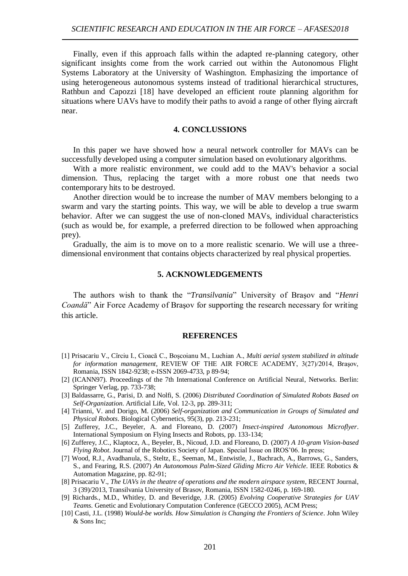Finally, even if this approach falls within the adapted re-planning category, other significant insights come from the work carried out within the Autonomous Flight Systems Laboratory at the University of Washington. Emphasizing the importance of using heterogeneous autonomous systems instead of traditional hierarchical structures, Rathbun and Capozzi [18] have developed an efficient route planning algorithm for situations where UAVs have to modify their paths to avoid a range of other flying aircraft near.

#### **4. CONCLUSSIONS**

In this paper we have showed how a neural network controller for MAVs can be successfully developed using a computer simulation based on evolutionary algorithms.

With a more realistic environment, we could add to the MAV's behavior a social dimension. Thus, replacing the target with a more robust one that needs two contemporary hits to be destroyed.

Another direction would be to increase the number of MAV members belonging to a swarm and vary the starting points. This way, we will be able to develop a true swarm behavior. After we can suggest the use of non-cloned MAVs, individual characteristics (such as would be, for example, a preferred direction to be followed when approaching prey).

Gradually, the aim is to move on to a more realistic scenario. We will use a threedimensional environment that contains objects characterized by real physical properties.

## **5. ACKNOWLEDGEMENTS**

The authors wish to thank the "*Transilvania*" University of Braşov and "*Henri Coandă*" Air Force Academy of Brasov for supporting the research necessary for writing this article.

#### **REFERENCES**

- [1] Prisacariu V., Cîrciu I., Cioacă C., Boşcoianu M., Luchian A., *Multi aerial system stabilized in altitude for information management*, REVIEW OF THE AIR FORCE ACADEMY, 3(27)/2014, Braşov, Romania, ISSN 1842-9238; e-ISSN 2069-4733, p 89-94;
- [2] (ICANN97). Proceedings of the 7th International Conference on Artificial Neural, Networks. Berlin: Springer Verlag, pp. 733-738;
- [3] Baldassarre, G., Parisi, D. and Nolfi, S. (2006) *Distributed Coordination of Simulated Robots Based on Self-Organization*. Artificial Life, Vol. 12-3, pp. 289-311;
- [4] Trianni, V. and Dorigo, M. (2006) *Self-organization and Communication in Groups of Simulated and Physical Robots*. Biological Cybernetics, 95(3), pp. 213-231;
- [5] Zufferey, J.C., Beyeler, A. and Floreano, D. (2007) *Insect-inspired Autonomous Microflyer*. International Symposium on Flying Insects and Robots, pp. 133-134;
- [6] Zufferey, J.C., Klaptocz, A., Beyeler, B., Nicoud, J.D. and Floreano, D. (2007) *A 10-gram Vision-based Flying Robot*. Journal of the Robotics Society of Japan. Special Issue on IROS'06. In press;
- [7] Wood, R.J., Avadhanula, S., Steltz, E., Seeman, M., Entwistle, J., Bachrach, A., Barrows, G., Sanders, S., and Fearing, R.S. (2007) *An Autonomous Palm-Sized Gliding Micro Air Vehicle*. IEEE Robotics & Automation Magazine, pp. 82-91;
- [8] Prisacariu V., *The UAVs in the theatre of operations and the modern airspace system*, RECENT Journal, 3 (39)/2013, Transilvania University of Brasov, Romania, ISSN 1582-0246, p. 169-180.
- [9] Richards., M.D., Whitley, D. and Beveridge, J.R. (2005) *Evolving Cooperative Strategies for UAV Teams*. Genetic and Evolutionary Computation Conference (GECCO 2005), ACM Press;
- [10] Casti, J.L. (1998) *Would-be worlds. How Simulation is Changing the Frontiers of Science*. John Wiley & Sons Inc;